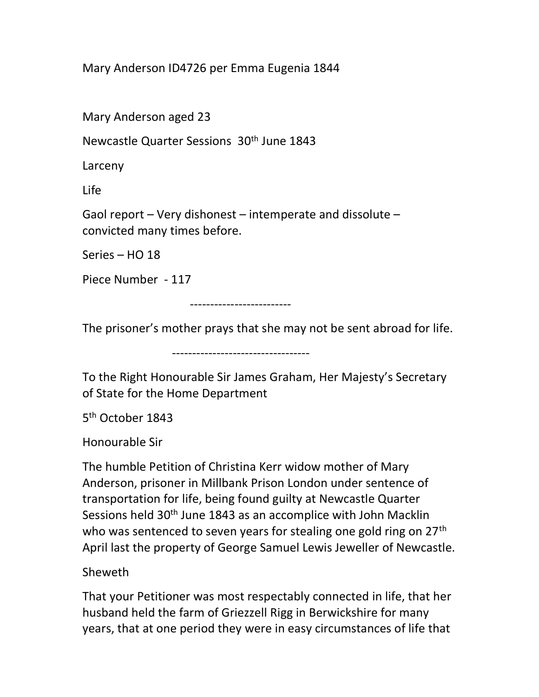Mary Anderson ID4726 per Emma Eugenia 1844

Mary Anderson aged 23

Newcastle Quarter Sessions 30<sup>th</sup> June 1843

Larceny

Life

Gaol report – Very dishonest – intemperate and dissolute – convicted many times before.

Series – HO 18

Piece Number - 117

-------------------------

The prisoner's mother prays that she may not be sent abroad for life.

----------------------------------

To the Right Honourable Sir James Graham, Her Majesty's Secretary of State for the Home Department

5<sup>th</sup> October 1843

Honourable Sir

The humble Petition of Christina Kerr widow mother of Mary Anderson, prisoner in Millbank Prison London under sentence of transportation for life, being found guilty at Newcastle Quarter Sessions held 30<sup>th</sup> June 1843 as an accomplice with John Macklin who was sentenced to seven years for stealing one gold ring on 27<sup>th</sup> April last the property of George Samuel Lewis Jeweller of Newcastle.

Sheweth

That your Petitioner was most respectably connected in life, that her husband held the farm of Griezzell Rigg in Berwickshire for many years, that at one period they were in easy circumstances of life that